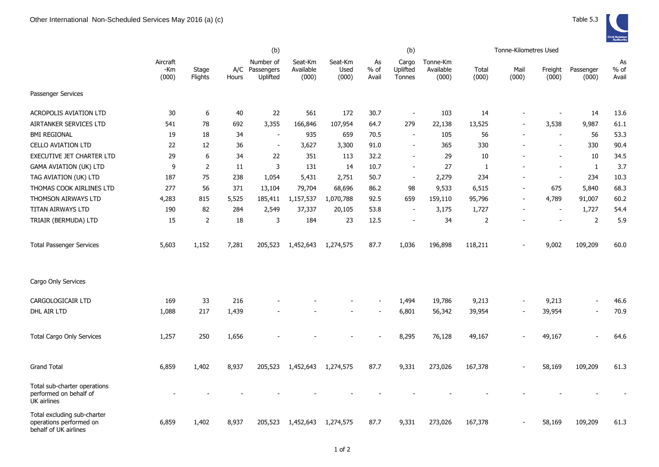|                                                                                 |                          | (b)              |              |                                     |                               |                          | (b)                   |                             |                                |                | Tonne-Kilometres Used |                  |                          |                       |
|---------------------------------------------------------------------------------|--------------------------|------------------|--------------|-------------------------------------|-------------------------------|--------------------------|-----------------------|-----------------------------|--------------------------------|----------------|-----------------------|------------------|--------------------------|-----------------------|
|                                                                                 | Aircraft<br>-Km<br>(000) | Stage<br>Flights | A/C<br>Hours | Number of<br>Passengers<br>Uplifted | Seat-Km<br>Available<br>(000) | Seat-Km<br>Used<br>(000) | As<br>$%$ of<br>Avail | Cargo<br>Uplifted<br>Tonnes | Tonne-Km<br>Available<br>(000) | Total<br>(000) | Mail<br>(000)         | Freight<br>(000) | Passenger<br>(000)       | As<br>$%$ of<br>Avail |
| Passenger Services                                                              |                          |                  |              |                                     |                               |                          |                       |                             |                                |                |                       |                  |                          |                       |
| <b>ACROPOLIS AVIATION LTD</b>                                                   | 30                       | 6                | 40           | 22                                  | 561                           | 172                      | 30.7                  | $\sim$                      | 103                            | 14             |                       |                  | 14                       | 13.6                  |
| AIRTANKER SERVICES LTD                                                          | 541                      | 78               | 692          | 3,355                               | 166,846                       | 107,954                  | 64.7                  | 279                         | 22,138                         | 13,525         |                       | 3,538            | 9,987                    | 61.1                  |
| <b>BMI REGIONAL</b>                                                             | 19                       | 18               | 34           | $\overline{a}$                      | 935                           | 659                      | 70.5                  | $\overline{\phantom{a}}$    | 105                            | 56             |                       | $\blacksquare$   | 56                       | 53.3                  |
| <b>CELLO AVIATION LTD</b>                                                       | 22                       | 12               | 36           | $\blacksquare$                      | 3,627                         | 3,300                    | 91.0                  | $\blacksquare$              | 365                            | 330            |                       | $\blacksquare$   | 330                      | 90.4                  |
| EXECUTIVE JET CHARTER LTD                                                       | 29                       | 6                | 34           | 22                                  | 351                           | 113                      | 32.2                  | $\overline{\phantom{a}}$    | 29                             | 10             |                       | $\blacksquare$   | 10                       | 34.5                  |
| <b>GAMA AVIATION (UK) LTD</b>                                                   | 9                        | 2                | 11           | 3                                   | 131                           | 14                       | 10.7                  | $\blacksquare$              | 27                             | 1              |                       |                  | $\mathbf{1}$             | 3.7                   |
| TAG AVIATION (UK) LTD                                                           | 187                      | 75               | 238          | 1,054                               | 5,431                         | 2,751                    | 50.7                  | $\blacksquare$              | 2,279                          | 234            |                       |                  | 234                      | 10.3                  |
| THOMAS COOK AIRLINES LTD                                                        | 277                      | 56               | 371          | 13,104                              | 79,704                        | 68,696                   | 86.2                  | 98                          | 9,533                          | 6,515          |                       | 675              | 5,840                    | 68.3                  |
| THOMSON AIRWAYS LTD                                                             | 4,283                    | 815              | 5,525        | 185,411                             | 1,157,537                     | 1,070,788                | 92.5                  | 659                         | 159,110                        | 95,796         |                       | 4,789            | 91,007                   | 60.2                  |
| TITAN AIRWAYS LTD                                                               | 190                      | 82               | 284          | 2,549                               | 37,337                        | 20,105                   | 53.8                  | $\overline{\phantom{a}}$    | 3,175                          | 1,727          |                       |                  | 1,727                    | 54.4                  |
| TRIAIR (BERMUDA) LTD                                                            | 15                       | $\overline{2}$   | 18           | 3                                   | 184                           | 23                       | 12.5                  | $\sim$                      | 34                             | 2              |                       |                  | 2                        | 5.9                   |
| <b>Total Passenger Services</b>                                                 | 5,603                    | 1,152            | 7,281        | 205,523                             | 1,452,643                     | 1,274,575                | 87.7                  | 1,036                       | 196,898                        | 118,211        |                       | 9,002            | 109,209                  | 60.0                  |
| Cargo Only Services                                                             |                          |                  |              |                                     |                               |                          |                       |                             |                                |                |                       |                  |                          |                       |
| CARGOLOGICAIR LTD                                                               | 169                      | 33               | 216          |                                     |                               |                          |                       | 1,494                       | 19,786                         | 9,213          |                       | 9,213            | $\overline{\phantom{a}}$ | 46.6                  |
| DHL AIR LTD                                                                     | 1,088                    | 217              | 1,439        |                                     |                               |                          |                       | 6,801                       | 56,342                         | 39,954         |                       | 39,954           | $\overline{a}$           | 70.9                  |
| <b>Total Cargo Only Services</b>                                                | 1,257                    | 250              | 1,656        |                                     |                               |                          |                       | 8,295                       | 76,128                         | 49,167         |                       | 49,167           |                          | 64.6                  |
| <b>Grand Total</b>                                                              | 6,859                    | 1,402            | 8,937        | 205,523                             | 1,452,643                     | 1,274,575                | 87.7                  | 9,331                       | 273,026                        | 167,378        |                       | 58,169           | 109,209                  | 61.3                  |
| Total sub-charter operations<br>performed on behalf of<br>UK airlines           |                          |                  |              |                                     |                               |                          |                       |                             |                                |                |                       |                  |                          |                       |
| Total excluding sub-charter<br>operations performed on<br>behalf of UK airlines | 6,859                    | 1,402            | 8,937        | 205,523                             | 1,452,643                     | 1,274,575                | 87.7                  | 9,331                       | 273,026                        | 167,378        |                       | 58,169           | 109,209                  | 61.3                  |